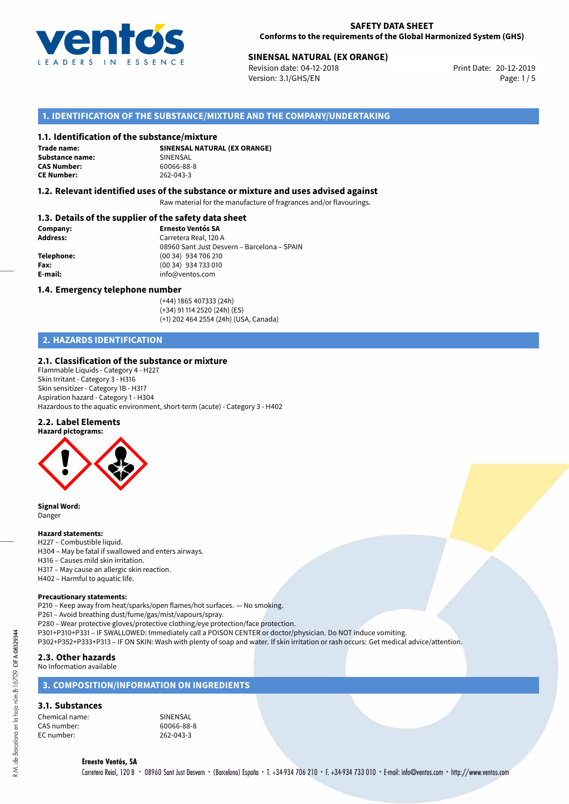

# **SINENSAL NATURAL (EX ORANGE)**<br>
Revision date: 04-12-2018<br> **Print Date: 20-12-2019**

Revision date: 04-12-2018 Version: 3.1/GHS/EN Page: 1 / 5

## **1. IDENTIFICATION OF THE SUBSTANCE/MIXTURE AND THE COMPANY/UNDERTAKING**

#### **1.1. Identification of the substance/mixture**

**Trade name: Substance name:** SINENSAL<br> **CAS Number:** 60066-88-8 **CAS Number: CE Number:** 262-043-3

**SINENSAL NATURAL (EX ORANGE)**

#### **1.2. Relevant identified uses of the substance or mixture and uses advised against**

Raw material for the manufacture of fragrances and/or flavourings.

#### **1.3. Details of the supplier of the safety data sheet**

| Company:        | <b>Ernesto Ventós SA</b>                    |
|-----------------|---------------------------------------------|
| <b>Address:</b> | Carretera Real, 120 A                       |
|                 | 08960 Sant Just Desvern - Barcelona - SPAIN |
| Telephone:      | (00 34) 934 706 210                         |
| Fax:            | (00 34) 934 733 010                         |
| E-mail:         | info@ventos.com                             |
|                 |                                             |

#### **1.4. Emergency telephone number**

(+44) 1865 407333 (24h) (+34) 91 114 2520 (24h) (ES) (+1) 202 464 2554 (24h) (USA, Canada)

## **2. HAZARDS IDENTIFICATION**

#### **2.1. Classification of the substance or mixture**

Flammable Liquids - Category 4 - H227 Skin Irritant - Category 3 - H316 Skin sensitizer - Category 1B - H317 Aspiration hazard - Category 1 - H304 Hazardous to the aquatic environment, short-term (acute) - Category 3 - H402

#### **2.2. Label Elements**



**Signal Word:** Danger

#### **Hazard statements:**

H227 – Combustible liquid. H304 – May be fatal if swallowed and enters airways. H316 – Causes mild skin irritation. H317 – May cause an allergic skin reaction. H402 – Harmful to aquatic life.

#### **Precautionary statements:**

P210 – Keep away from heat/sparks/open flames/hot surfaces. — No smoking.

P261 – Avoid breathing dust/fume/gas/mist/vapours/spray.

P280 – Wear protective gloves/protective clothing/eye protection/face protection.

P301+P310+P331 – IF SWALLOWED: Immediately call a POISON CENTER or doctor/physician. Do NOT induce vomiting.

P302+P352+P333+P313 – IF ON SKIN: Wash with plenty of soap and water. If skin irritation or rash occurs: Get medical advice/attention.

## **2.3. Other hazards**

No Information available

#### **3. COMPOSITION/INFORMATION ON INGREDIENTS**

# **3.1. Substances**

| Chemical name: |  |
|----------------|--|
| CAS number:    |  |
| EC number:     |  |

**CINENSAL** 60066-88-8 262-043-3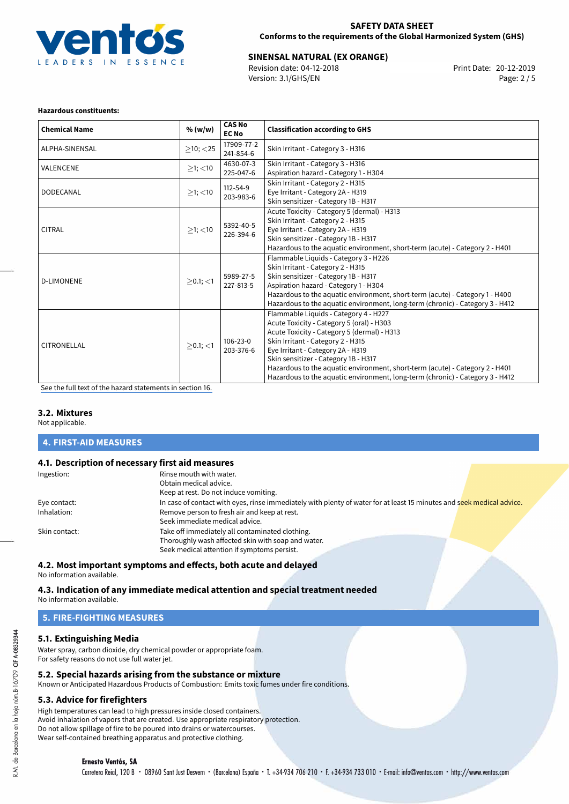

# **SINENSAL NATURAL (EX ORANGE)**<br>
Revision date: 04-12-2018<br> **Print Date: 20-12-2019**

Revision date: 04-12-2018 Version: 3.1/GHS/EN Page: 2 / 5

#### **Hazardous constituents:**

| <b>Chemical Name</b> | % (w/w)                                                                                                                                                                                                 | <b>CAS No</b><br><b>EC No</b> | <b>Classification according to GHS</b>                                                                                                                                                                                                                                                                                                                                                                               |  |  |
|----------------------|---------------------------------------------------------------------------------------------------------------------------------------------------------------------------------------------------------|-------------------------------|----------------------------------------------------------------------------------------------------------------------------------------------------------------------------------------------------------------------------------------------------------------------------------------------------------------------------------------------------------------------------------------------------------------------|--|--|
| ALPHA-SINENSAL       | $\geq$ 10; <25                                                                                                                                                                                          | 17909-77-2<br>241-854-6       | Skin Irritant - Category 3 - H316                                                                                                                                                                                                                                                                                                                                                                                    |  |  |
| VALENCENE            | $\geq$ 1; <10                                                                                                                                                                                           | 4630-07-3<br>225-047-6        | Skin Irritant - Category 3 - H316<br>Aspiration hazard - Category 1 - H304                                                                                                                                                                                                                                                                                                                                           |  |  |
| <b>DODECANAL</b>     | $\geq$ 1; <10                                                                                                                                                                                           | 112-54-9<br>203-983-6         | Skin Irritant - Category 2 - H315<br>Eye Irritant - Category 2A - H319<br>Skin sensitizer - Category 1B - H317                                                                                                                                                                                                                                                                                                       |  |  |
| <b>CITRAL</b>        | $\geq$ 1; <10                                                                                                                                                                                           | 5392-40-5<br>226-394-6        | Acute Toxicity - Category 5 (dermal) - H313<br>Skin Irritant - Category 2 - H315<br>Eye Irritant - Category 2A - H319<br>Skin sensitizer - Category 1B - H317<br>Hazardous to the aquatic environment, short-term (acute) - Category 2 - H401                                                                                                                                                                        |  |  |
| <b>D-LIMONENE</b>    | Flammable Liquids - Category 3 - H226<br>Skin Irritant - Category 2 - H315<br>Skin sensitizer - Category 1B - H317<br>5989-27-5<br>$>0.1$ ; $<$ 1<br>Aspiration hazard - Category 1 - H304<br>227-813-5 |                               | Hazardous to the aquatic environment, short-term (acute) - Category 1 - H400<br>Hazardous to the aquatic environment, long-term (chronic) - Category 3 - H412                                                                                                                                                                                                                                                        |  |  |
| <b>CITRONELLAL</b>   | $>0.1$ ; <1                                                                                                                                                                                             | 106-23-0<br>203-376-6         | Flammable Liquids - Category 4 - H227<br>Acute Toxicity - Category 5 (oral) - H303<br>Acute Toxicity - Category 5 (dermal) - H313<br>Skin Irritant - Category 2 - H315<br>Eye Irritant - Category 2A - H319<br>Skin sensitizer - Category 1B - H317<br>Hazardous to the aquatic environment, short-term (acute) - Category 2 - H401<br>Hazardous to the aquatic environment, long-term (chronic) - Category 3 - H412 |  |  |

[See the full text of the hazard statements in section 16.](#page-4-0)

#### **3.2. Mixtures**

Not applicable.

#### **4. FIRST-AID MEASURES**

#### **4.1. Description of necessary first aid measures**

| Ingestion:    | Rinse mouth with water.                                                                                               |
|---------------|-----------------------------------------------------------------------------------------------------------------------|
|               | Obtain medical advice.                                                                                                |
|               | Keep at rest. Do not induce vomiting.                                                                                 |
| Eye contact:  | In case of contact with eyes, rinse immediately with plenty of water for at least 15 minutes and seek medical advice. |
| Inhalation:   | Remove person to fresh air and keep at rest.                                                                          |
|               | Seek immediate medical advice.                                                                                        |
| Skin contact: | Take off immediately all contaminated clothing.                                                                       |
|               | Thoroughly wash affected skin with soap and water.                                                                    |
|               | Seek medical attention if symptoms persist.                                                                           |

#### **4.2. Most important symptoms and effects, both acute and delayed**

No information available.

#### **4.3. Indication of any immediate medical attention and special treatment needed** No information available.

# **5. FIRE-FIGHTING MEASURES**

# **5.1. Extinguishing Media**

Water spray, carbon dioxide, dry chemical powder or appropriate foam. For safety reasons do not use full water jet.

## **5.2. Special hazards arising from the substance or mixture**

Known or Anticipated Hazardous Products of Combustion: Emits toxic fumes under fire conditions.

## **5.3. Advice for firefighters**

High temperatures can lead to high pressures inside closed containers. Avoid inhalation of vapors that are created. Use appropriate respiratory protection. Do not allow spillage of fire to be poured into drains or watercourses. Wear self-contained breathing apparatus and protective clothing.

#### **Ernesto Ventós, SA**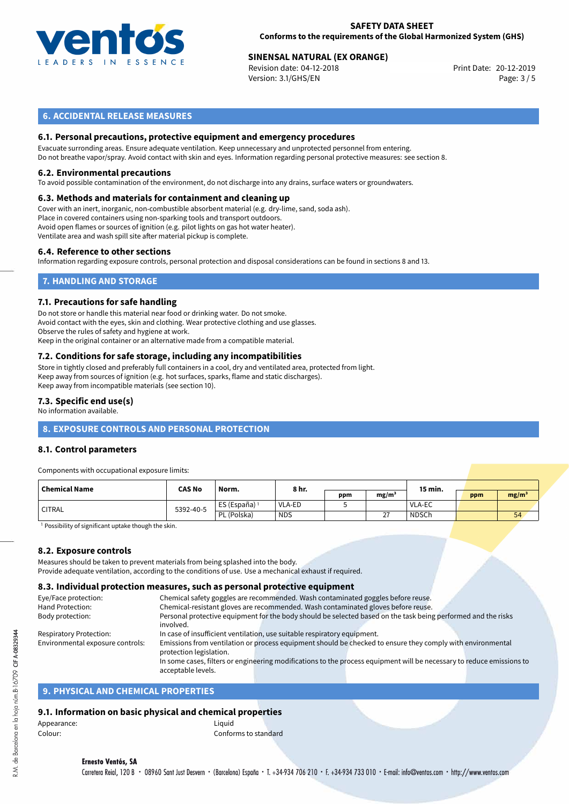

# **SINENSAL NATURAL (EX ORANGE)**<br>
Revision date: 04-12-2018<br> **Print Date: 20-12-2019**

Revision date: 04-12-2018 Version: 3.1/GHS/EN Page: 3 / 5

## **6. ACCIDENTAL RELEASE MEASURES**

#### **6.1. Personal precautions, protective equipment and emergency procedures**

Evacuate surronding areas. Ensure adequate ventilation. Keep unnecessary and unprotected personnel from entering. Do not breathe vapor/spray. Avoid contact with skin and eyes. Information regarding personal protective measures: see section 8.

#### **6.2. Environmental precautions**

To avoid possible contamination of the environment, do not discharge into any drains, surface waters or groundwaters.

#### **6.3. Methods and materials for containment and cleaning up**

Cover with an inert, inorganic, non-combustible absorbent material (e.g. dry-lime, sand, soda ash). Place in covered containers using non-sparking tools and transport outdoors. Avoid open flames or sources of ignition (e.g. pilot lights on gas hot water heater). Ventilate area and wash spill site after material pickup is complete.

#### **6.4. Reference to other sections**

Information regarding exposure controls, personal protection and disposal considerations can be found in sections 8 and 13.

## **7. HANDLING AND STORAGE**

#### **7.1. Precautions for safe handling**

Do not store or handle this material near food or drinking water. Do not smoke. Avoid contact with the eyes, skin and clothing. Wear protective clothing and use glasses. Observe the rules of safety and hygiene at work. Keep in the original container or an alternative made from a compatible material.

# **7.2. Conditions for safe storage, including any incompatibilities**

Store in tightly closed and preferably full containers in a cool, dry and ventilated area, protected from light. Keep away from sources of ignition (e.g. hot surfaces, sparks, flame and static discharges). Keep away from incompatible materials (see section 10).

#### **7.3. Specific end use(s)**

No information available.

## **8. EXPOSURE CONTROLS AND PERSONAL PROTECTION**

#### **8.1. Control parameters**

Components with occupational exposure limits:

| Chemical Name | <b>CAS No</b> | Norm.                    | 8 hr.      |     |                                       | 15 min.      |     |                   |
|---------------|---------------|--------------------------|------------|-----|---------------------------------------|--------------|-----|-------------------|
|               |               |                          |            | ppm | mg/m <sup>3</sup>                     |              | ppm | mg/m <sup>3</sup> |
| ' CITRAL      | 5392-40-5     | ES (España) <sup>1</sup> | VLA-ED     |     |                                       | VLA-EC       |     |                   |
|               |               | PL (Polska)              | <b>NDS</b> |     | $\sim$<br>$\mathcal{L}_{\mathcal{L}}$ | <b>NDSCh</b> |     | 54                |

<sup>1</sup> Possibility of significant uptake though the skin.

#### **8.2. Exposure controls**

Measures should be taken to prevent materials from being splashed into the body. Provide adequate ventilation, according to the conditions of use. Use a mechanical exhaust if required.

#### **8.3. Individual protection measures, such as personal protective equipment**

| Eye/Face protection:             | Chemical safety goggles are recommended. Wash contaminated goggles before reuse.                                                            |
|----------------------------------|---------------------------------------------------------------------------------------------------------------------------------------------|
| Hand Protection:                 | Chemical-resistant gloves are recommended. Wash contaminated gloves before reuse.                                                           |
| Body protection:                 | Personal protective equipment for the body should be selected based on the task being performed and the risks                               |
|                                  | involved.                                                                                                                                   |
| <b>Respiratory Protection:</b>   | In case of insufficient ventilation, use suitable respiratory equipment.                                                                    |
| Environmental exposure controls: | Emissions from ventilation or process equipment should be checked to ensure they comply with environmental                                  |
|                                  | protection legislation.                                                                                                                     |
|                                  | In some cases, filters or engineering modifications to the process equipment will be necessary to reduce emissions to<br>acceptable levels. |
|                                  |                                                                                                                                             |

#### **9. PHYSICAL AND CHEMICAL PROPERTIES**

#### **9.1. Information on basic physical and chemical properties**

| Appearance: | Liguid               |
|-------------|----------------------|
| Colour:     | Conforms to standard |

# **Ernesto Ventós, SA**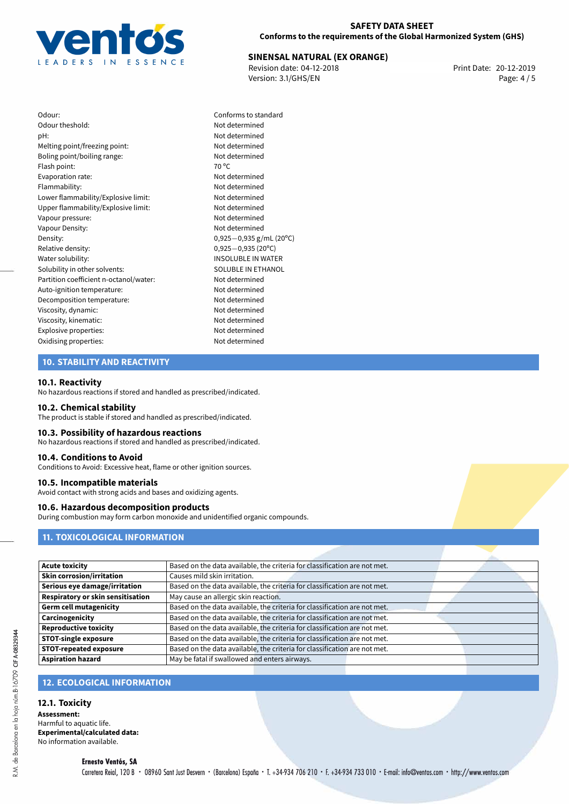

# **SINENSAL NATURAL (EX ORANGE)**<br>
Revision date: 04-12-2018<br> **Print Date: 20-12-2019**

Revision date: 04-12-2018 Version: 3.1/GHS/EN Page: 4 / 5

| Odour:                                 | Conf        |
|----------------------------------------|-------------|
| Odour theshold:                        | Not c       |
| pH:                                    | Not c       |
| Melting point/freezing point:          | Not c       |
| Boling point/boiling range:            | Not c       |
| Flash point:                           | 70 °C       |
| Evaporation rate:                      | Not c       |
| Flammability:                          | Not c       |
| Lower flammability/Explosive limit:    | Not c       |
| Upper flammability/Explosive limit:    | Not c       |
| Vapour pressure:                       | Not c       |
| Vapour Density:                        | Not c       |
| Density:                               | 0,925       |
| Relative density:                      | 0,925       |
| Water solubility:                      | <b>INSO</b> |
| Solubility in other solvents:          | SOLL        |
| Partition coefficient n-octanol/water: | Not c       |
| Auto-ignition temperature:             | Not c       |
| Decomposition temperature:             | Not c       |
| Viscosity, dynamic:                    | Not c       |
| Viscosity, kinematic:                  | Not c       |
| Explosive properties:                  | Not c       |
| Oxidising properties:                  | Not c       |

Conforms to standard Not determined Not determined Not determined Not determined Not determined Not determined Not determined Not determined Not determined Not determined Density: 0,925*−*0,935 g/mL (20ºC) Relative density: 0,925*−*0,935 (20ºC) **INSOLUBLE IN WATER** SOLUBLE IN ETHANOL Not determined Not determined Not determined Not determined Viscosity, kinematic: Not determined Not determined Not determined

## **10. STABILITY AND REACTIVITY**

#### **10.1. Reactivity**

No hazardous reactions if stored and handled as prescribed/indicated.

#### **10.2. Chemical stability**

The product is stable if stored and handled as prescribed/indicated.

## **10.3. Possibility of hazardous reactions**

No hazardous reactions if stored and handled as prescribed/indicated.

#### **10.4. Conditions to Avoid**

Conditions to Avoid: Excessive heat, flame or other ignition sources.

#### **10.5. Incompatible materials**

Avoid contact with strong acids and bases and oxidizing agents.

#### **10.6. Hazardous decomposition products**

During combustion may form carbon monoxide and unidentified organic compounds.

# **11. TOXICOLOGICAL INFORMATION**

| <b>Acute toxicity</b>             | Based on the data available, the criteria for classification are not met. |  |
|-----------------------------------|---------------------------------------------------------------------------|--|
| <b>Skin corrosion/irritation</b>  | Causes mild skin irritation.                                              |  |
| Serious eye damage/irritation     | Based on the data available, the criteria for classification are not met. |  |
| Respiratory or skin sensitisation | May cause an allergic skin reaction.                                      |  |
| <b>Germ cell mutagenicity</b>     | Based on the data available, the criteria for classification are not met. |  |
| Carcinogenicity                   | Based on the data available, the criteria for classification are not met. |  |
| <b>Reproductive toxicity</b>      | Based on the data available, the criteria for classification are not met. |  |
| <b>STOT-single exposure</b>       | Based on the data available, the criteria for classification are not met. |  |
| <b>STOT-repeated exposure</b>     | Based on the data available, the criteria for classification are not met. |  |
| <b>Aspiration hazard</b>          | May be fatal if swallowed and enters airways.                             |  |
|                                   |                                                                           |  |

# **12. ECOLOGICAL INFORMATION**

# **12.1. Toxicity**

**Assessment:** Harmful to aquatic life. **Experimental/calculated data:** No information available.